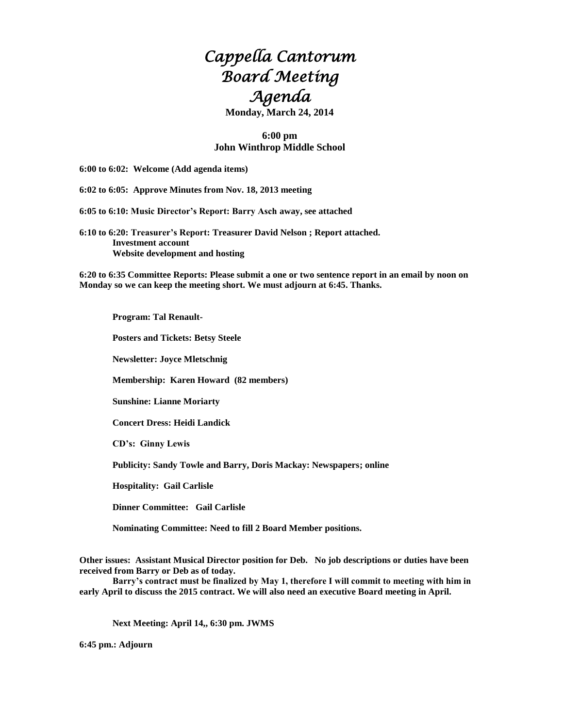## *Cappella Cantorum Board Meeting Agenda*

**Monday, March 24, 2014** 

## **6:00 pm John Winthrop Middle School**

**6:00 to 6:02: Welcome (Add agenda items)**

**6:02 to 6:05: Approve Minutes from Nov. 18, 2013 meeting**

**6:05 to 6:10: Music Director's Report: Barry Asch away, see attached**

**6:10 to 6:20: Treasurer's Report: Treasurer David Nelson ; Report attached. Investment account Website development and hosting**

**6:20 to 6:35 Committee Reports: Please submit a one or two sentence report in an email by noon on Monday so we can keep the meeting short. We must adjourn at 6:45. Thanks.**

**Program: Tal Renault-**

**Posters and Tickets: Betsy Steele**

**Newsletter: Joyce Mletschnig**

**Membership: Karen Howard (82 members)**

**Sunshine: Lianne Moriarty**

**Concert Dress: Heidi Landick**

**CD's: Ginny Lewis** 

**Publicity: Sandy Towle and Barry, Doris Mackay: Newspapers; online**

**Hospitality: Gail Carlisle** 

**Dinner Committee: Gail Carlisle** 

**Nominating Committee: Need to fill 2 Board Member positions.**

**Other issues: Assistant Musical Director position for Deb. No job descriptions or duties have been received from Barry or Deb as of today.** 

**Barry's contract must be finalized by May 1, therefore I will commit to meeting with him in early April to discuss the 2015 contract. We will also need an executive Board meeting in April.**

**Next Meeting: April 14,, 6:30 pm. JWMS** 

**6:45 pm.: Adjourn**